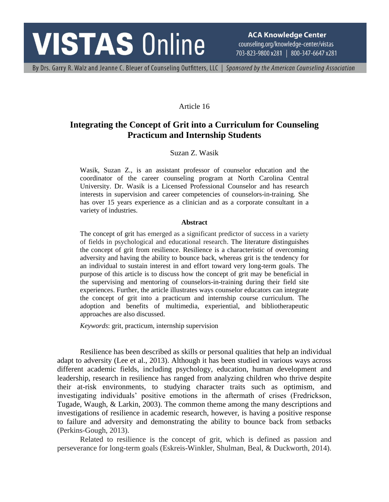# **VISTAS Online**

**ACA Knowledge Center** counseling.org/knowledge-center/vistas 703-823-9800 x281 | 800-347-6647 x281

By Drs. Garry R. Walz and Jeanne C. Bleuer of Counseling Outfitters, LLC | Sponsored by the American Counseling Association

#### Article 16

# **Integrating the Concept of Grit into a Curriculum for Counseling Practicum and Internship Students**

#### Suzan Z. Wasik

Wasik, Suzan Z., is an assistant professor of counselor education and the coordinator of the career counseling program at North Carolina Central University. Dr. Wasik is a Licensed Professional Counselor and has research interests in supervision and career competencies of counselors-in-training. She has over 15 years experience as a clinician and as a corporate consultant in a variety of industries.

#### **Abstract**

The concept of grit has emerged as a significant predictor of success in a variety of fields in psychological and educational research. The literature distinguishes the concept of grit from resilience. Resilience is a characteristic of overcoming adversity and having the ability to bounce back, whereas grit is the tendency for an individual to sustain interest in and effort toward very long-term goals. The purpose of this article is to discuss how the concept of grit may be beneficial in the supervising and mentoring of counselors-in-training during their field site experiences. Further, the article illustrates ways counselor educators can integrate the concept of grit into a practicum and internship course curriculum. The adoption and benefits of multimedia, experiential, and bibliotherapeutic approaches are also discussed.

*Keywords*: grit, practicum, internship supervision

Resilience has been described as skills or personal qualities that help an individual adapt to adversity (Lee et al., 2013). Although it has been studied in various ways across different academic fields, including psychology, education, human development and leadership, research in resilience has ranged from analyzing children who thrive despite their at-risk environments, to studying character traits such as optimism, and investigating individuals' positive emotions in the aftermath of crises (Fredrickson, Tugade, Waugh, & Larkin, 2003). The common theme among the many descriptions and investigations of resilience in academic research, however, is having a positive response to failure and adversity and demonstrating the ability to bounce back from setbacks (Perkins-Gough, 2013).

Related to resilience is the concept of grit, which is defined as passion and perseverance for long-term goals (Eskreis-Winkler, Shulman, Beal, & Duckworth, 2014).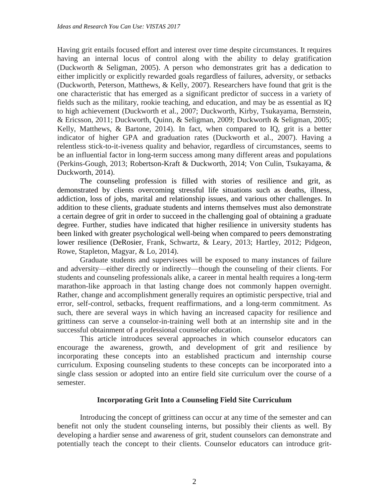Having grit entails focused effort and interest over time despite circumstances. It requires having an internal locus of control along with the ability to delay gratification (Duckworth & Seligman, 2005). A person who demonstrates grit has a dedication to either implicitly or explicitly rewarded goals regardless of failures, adversity, or setbacks (Duckworth, Peterson, Matthews, & Kelly, 2007). Researchers have found that grit is the one characteristic that has emerged as a significant predictor of success in a variety of fields such as the military, rookie teaching, and education, and may be as essential as IQ to high achievement (Duckworth et al., 2007; Duckworth, Kirby, Tsukayama, Bernstein, & Ericsson, 2011; Duckworth, Quinn, & Seligman, 2009; Duckworth & Seligman, 2005; Kelly, Matthews, & Bartone, 2014). In fact, when compared to IQ, grit is a better indicator of higher GPA and graduation rates (Duckworth et al., 2007). Having a relentless stick-to-it-iveness quality and behavior, regardless of circumstances, seems to be an influential factor in long-term success among many different areas and populations (Perkins-Gough, 2013; Robertson-Kraft & Duckworth, 2014; Von Culin, Tsukayama, & Duckworth, 2014).

The counseling profession is filled with stories of resilience and grit, as demonstrated by clients overcoming stressful life situations such as deaths, illness, addiction, loss of jobs, marital and relationship issues, and various other challenges. In addition to these clients, graduate students and interns themselves must also demonstrate a certain degree of grit in order to succeed in the challenging goal of obtaining a graduate degree. Further, studies have indicated that higher resilience in university students has been linked with greater psychological well-being when compared to peers demonstrating lower resilience (DeRosier, Frank, Schwartz, & Leary, 2013; Hartley, 2012; Pidgeon, Rowe, Stapleton, Magyar, & Lo, 2014).

Graduate students and supervisees will be exposed to many instances of failure and adversity—either directly or indirectly—though the counseling of their clients. For students and counseling professionals alike, a career in mental health requires a long-term marathon-like approach in that lasting change does not commonly happen overnight. Rather, change and accomplishment generally requires an optimistic perspective, trial and error, self-control, setbacks, frequent reaffirmations, and a long-term commitment. As such, there are several ways in which having an increased capacity for resilience and grittiness can serve a counselor-in-training well both at an internship site and in the successful obtainment of a professional counselor education.

This article introduces several approaches in which counselor educators can encourage the awareness, growth, and development of grit and resilience by incorporating these concepts into an established practicum and internship course curriculum. Exposing counseling students to these concepts can be incorporated into a single class session or adopted into an entire field site curriculum over the course of a semester.

# **Incorporating Grit Into a Counseling Field Site Curriculum**

Introducing the concept of grittiness can occur at any time of the semester and can benefit not only the student counseling interns, but possibly their clients as well. By developing a hardier sense and awareness of grit, student counselors can demonstrate and potentially teach the concept to their clients. Counselor educators can introduce grit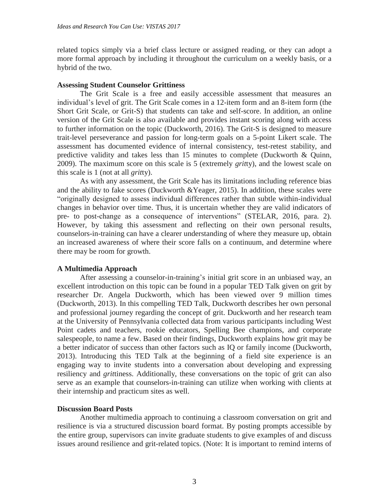related topics simply via a brief class lecture or assigned reading, or they can adopt a more formal approach by including it throughout the curriculum on a weekly basis, or a hybrid of the two.

#### **Assessing Student Counselor Grittiness**

The Grit Scale is a free and easily accessible assessment that measures an individual's level of grit. The Grit Scale comes in a 12-item form and an 8-item form (the Short Grit Scale, or Grit-S) that students can take and self-score. In addition, an online version of the Grit Scale is also available and provides instant scoring along with access to further information on the topic (Duckworth, 2016). The Grit-S is designed to measure trait-level perseverance and passion for long-term goals on a 5-point Likert scale. The assessment has documented evidence of internal consistency, test-retest stability, and predictive validity and takes less than 15 minutes to complete (Duckworth & Quinn, 2009). The maximum score on this scale is 5 (extremely *grit*ty), and the lowest scale on this scale is 1 (not at all *grit*ty).

As with any assessment, the Grit Scale has its limitations including reference bias and the ability to fake scores (Duckworth &Yeager, 2015). In addition, these scales were "originally designed to assess individual differences rather than subtle within-individual changes in behavior over time. Thus, it is uncertain whether they are valid indicators of pre- to post-change as a consequence of interventions" (STELAR, 2016, para. 2). However, by taking this assessment and reflecting on their own personal results, counselors-in-training can have a clearer understanding of where they measure up, obtain an increased awareness of where their score falls on a continuum, and determine where there may be room for growth.

# **A Multimedia Approach**

After assessing a counselor-in-training's initial grit score in an unbiased way, an excellent introduction on this topic can be found in a popular TED Talk given on grit by researcher Dr. Angela Duckworth, which has been viewed over 9 million times (Duckworth, 2013). In this compelling TED Talk, Duckworth describes her own personal and professional journey regarding the concept of grit. Duckworth and her research team at the University of Pennsylvania collected data from various participants including West Point cadets and teachers, rookie educators, Spelling Bee champions, and corporate salespeople, to name a few. Based on their findings, Duckworth explains how grit may be a better indicator of success than other factors such as IQ or family income (Duckworth, 2013). Introducing this TED Talk at the beginning of a field site experience is an engaging way to invite students into a conversation about developing and expressing resiliency and *grit*tiness. Additionally, these conversations on the topic of grit can also serve as an example that counselors-in-training can utilize when working with clients at their internship and practicum sites as well.

# **Discussion Board Posts**

Another multimedia approach to continuing a classroom conversation on grit and resilience is via a structured discussion board format. By posting prompts accessible by the entire group, supervisors can invite graduate students to give examples of and discuss issues around resilience and grit-related topics. (Note: It is important to remind interns of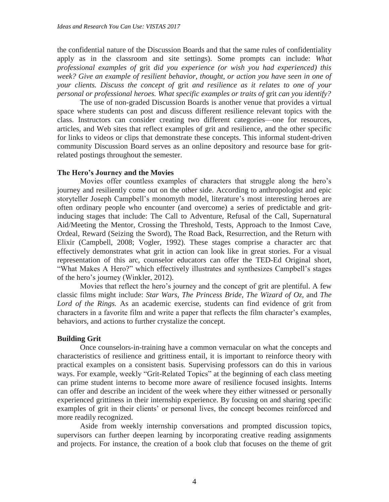the confidential nature of the Discussion Boards and that the same rules of confidentiality apply as in the classroom and site settings). Some prompts can include: *What professional examples of* grit *did you experience (or wish you had experienced) this week? Give an example of resilient behavior, thought, or action you have seen in one of your clients. Discuss the concept of* grit *and resilience as it relates to one of your personal or professional heroes. What specific examples or traits of* grit *can you identify?*

The use of non-graded Discussion Boards is another venue that provides a virtual space where students can post and discuss different resilience relevant topics with the class. Instructors can consider creating two different categories—one for resources, articles, and Web sites that reflect examples of grit and resilience, and the other specific for links to videos or clips that demonstrate these concepts. This informal student-driven community Discussion Board serves as an online depository and resource base for gritrelated postings throughout the semester.

#### **The Hero's Journey and the Movies**

Movies offer countless examples of characters that struggle along the hero's journey and resiliently come out on the other side. According to anthropologist and epic storyteller Joseph Campbell's monomyth model, literature's most interesting heroes are often ordinary people who encounter (and overcome) a series of predictable and gritinducing stages that include: The Call to Adventure, Refusal of the Call, Supernatural Aid/Meeting the Mentor, Crossing the Threshold, Tests, Approach to the Inmost Cave, Ordeal, Reward (Seizing the Sword), The Road Back, Resurrection, and the Return with Elixir (Campbell, 2008; Vogler, 1992). These stages comprise a character arc that effectively demonstrates what grit in action can look like in great stories. For a visual representation of this arc, counselor educators can offer the TED-Ed Original short, "What Makes A Hero?" which effectively illustrates and synthesizes Campbell's stages of the hero's journey (Winkler, 2012).

Movies that reflect the hero's journey and the concept of grit are plentiful. A few classic films might include: *Star Wars*, *The Princess Bride*, *The Wizard of Oz*, and *The Lord of the Rings.* As an academic exercise, students can find evidence of grit from characters in a favorite film and write a paper that reflects the film character's examples, behaviors, and actions to further crystalize the concept.

# **Building Grit**

Once counselors-in-training have a common vernacular on what the concepts and characteristics of resilience and grittiness entail, it is important to reinforce theory with practical examples on a consistent basis. Supervising professors can do this in various ways. For example, weekly "Grit-Related Topics" at the beginning of each class meeting can prime student interns to become more aware of resilience focused insights. Interns can offer and describe an incident of the week where they either witnessed or personally experienced grittiness in their internship experience. By focusing on and sharing specific examples of grit in their clients' or personal lives, the concept becomes reinforced and more readily recognized.

Aside from weekly internship conversations and prompted discussion topics, supervisors can further deepen learning by incorporating creative reading assignments and projects. For instance, the creation of a book club that focuses on the theme of grit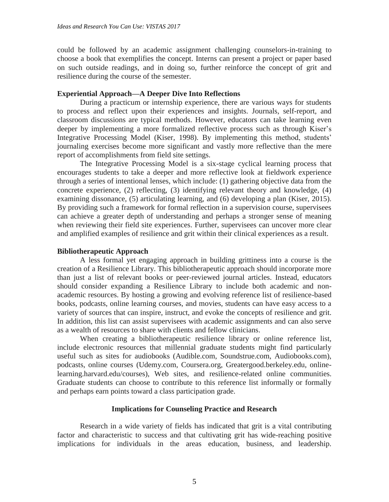could be followed by an academic assignment challenging counselors-in-training to choose a book that exemplifies the concept. Interns can present a project or paper based on such outside readings, and in doing so, further reinforce the concept of grit and resilience during the course of the semester.

# **Experiential Approach—A Deeper Dive Into Reflections**

During a practicum or internship experience, there are various ways for students to process and reflect upon their experiences and insights. Journals, self-report, and classroom discussions are typical methods. However, educators can take learning even deeper by implementing a more formalized reflective process such as through Kiser's Integrative Processing Model (Kiser, 1998). By implementing this method, students' journaling exercises become more significant and vastly more reflective than the mere report of accomplishments from field site settings.

The Integrative Processing Model is a six-stage cyclical learning process that encourages students to take a deeper and more reflective look at fieldwork experience through a series of intentional lenses, which include: (1) gathering objective data from the concrete experience, (2) reflecting, (3) identifying relevant theory and knowledge, (4) examining dissonance, (5) articulating learning, and (6) developing a plan (Kiser, 2015). By providing such a framework for formal reflection in a supervision course, supervisees can achieve a greater depth of understanding and perhaps a stronger sense of meaning when reviewing their field site experiences. Further, supervisees can uncover more clear and amplified examples of resilience and grit within their clinical experiences as a result.

#### **Bibliotherapeutic Approach**

A less formal yet engaging approach in building grittiness into a course is the creation of a Resilience Library. This bibliotherapeutic approach should incorporate more than just a list of relevant books or peer-reviewed journal articles. Instead, educators should consider expanding a Resilience Library to include both academic and nonacademic resources. By hosting a growing and evolving reference list of resilience-based books, podcasts, online learning courses, and movies, students can have easy access to a variety of sources that can inspire, instruct, and evoke the concepts of resilience and grit. In addition, this list can assist supervisees with academic assignments and can also serve as a wealth of resources to share with clients and fellow clinicians.

When creating a bibliotherapeutic resilience library or online reference list, include electronic resources that millennial graduate students might find particularly useful such as sites for audiobooks (Audible.com, Soundstrue.com, Audiobooks.com), podcasts, online courses (Udemy.com, Coursera.org, Greatergood.berkeley.edu, onlinelearning.harvard.edu/courses), Web sites, and resilience-related online communities. Graduate students can choose to contribute to this reference list informally or formally and perhaps earn points toward a class participation grade.

#### **Implications for Counseling Practice and Research**

Research in a wide variety of fields has indicated that grit is a vital contributing factor and characteristic to success and that cultivating grit has wide-reaching positive implications for individuals in the areas education, business, and leadership.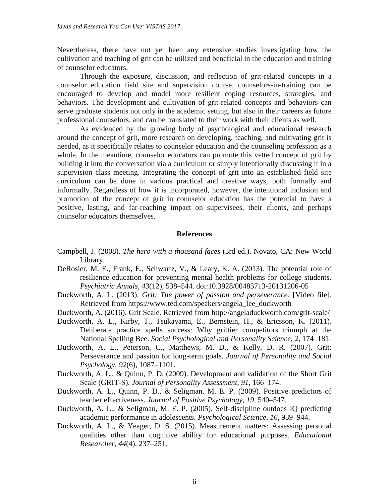Nevertheless, there have not yet been any extensive studies investigating how the cultivation and teaching of grit can be utilized and beneficial in the education and training of counselor educators.

Through the exposure, discussion, and reflection of grit-related concepts in a counselor education field site and supervision course, counselors-in-training can be encouraged to develop and model more resilient coping resources, strategies, and behaviors. The development and cultivation of grit-related concepts and behaviors can serve graduate students not only in the academic setting, but also in their careers as future professional counselors, and can be translated to their work with their clients as well.

As evidenced by the growing body of psychological and educational research around the concept of grit, more research on developing, teaching, and cultivating grit is needed, as it specifically relates to counselor education and the counseling profession as a whole. In the meantime, counselor educators can promote this vetted concept of grit by building it into the conversation via a curriculum or simply intentionally discussing it in a supervision class meeting. Integrating the concept of grit into an established field site curriculum can be done in various practical and creative ways, both formally and informally. Regardless of how it is incorporated, however, the intentional inclusion and promotion of the concept of grit in counselor education has the potential to have a positive, lasting, and far-reaching impact on supervisees, their clients, and perhaps counselor educators themselves.

#### **References**

- Campbell, J. (2008). *The hero with a thousand faces* (3rd ed.). Novato, CA: New World Library.
- DeRosier, M. E., Frank, E., Schwartz, V., & Leary, K. A. (2013). The potential role of resilience education for preventing mental health problems for college students. *Psychiatric Annals*, *43*(12), 538–544. doi:10.3928/00485713-20131206-05
- Duckworth, A. L. (2013). *Grit: The power of passion and perseverance.* [Video file]. Retrieved from https://www.ted.com/speakers/angela\_lee\_duckworth
- Duckworth, A. (2016). Grit Scale. Retrieved from http://angeladuckworth.com/grit-scale/
- Duckworth, A. L., Kirby, T., Tsukayama, E., Bernstein, H., & Ericsson, K. (2011). Deliberate practice spells success: Why grittier competitors triumph at the National Spelling Bee. *Social Psychological and Personality Science*, *2*, 174–181.
- Duckworth, A. L., Peterson, C., Matthews, M. D., & Kelly, D. R. (2007). Grit: Perseverance and passion for long-term goals. *Journal of Personality and Social Psychology*, *92*(6), 1087–1101.
- Duckworth, A. L., & Quinn, P. D. (2009). Development and validation of the Short Grit Scale (GRIT-S). *Journal of Personality Assessment*, *91*, 166–174.
- Duckworth, A. L., Quinn, P. D., & Seligman, M. E. P. (2009). Positive predictors of teacher effectiveness. *Journal of Positive Psychology*, *19*, 540–547.
- Duckworth, A. L., & Seligman, M. E. P. (2005). Self-discipline outdoes IQ predicting academic performance in adolescents. *Psychological Science*, *16*, 939–944.
- Duckworth, A. L., & Yeager, D. S. (2015). Measurement matters: Assessing personal qualities other than cognitive ability for educational purposes. *Educational Researcher*, *44*(4), 237–251.